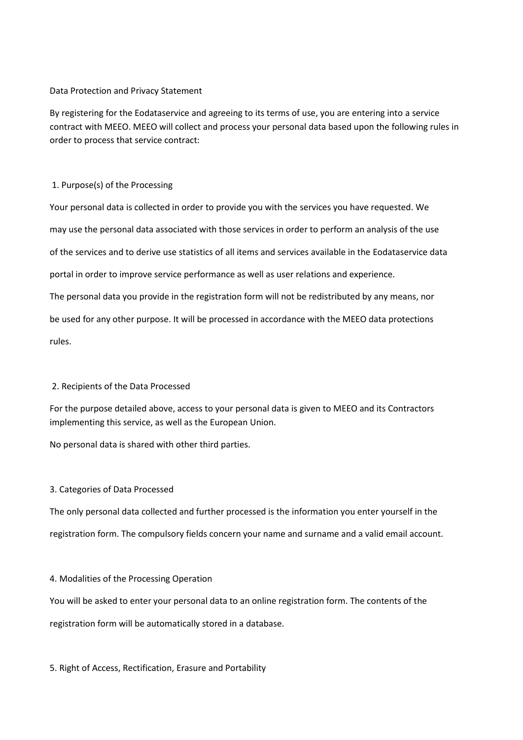# Data Protection and Privacy Statement

By registering for the Eodataservice and agreeing to its terms of use, you are entering into a service contract with MEEO. MEEO will collect and process your personal data based upon the following rules in order to process that service contract:

### 1. Purpose(s) of the Processing

Your personal data is collected in order to provide you with the services you have requested. We may use the personal data associated with those services in order to perform an analysis of the use of the services and to derive use statistics of all items and services available in the Eodataservice data portal in order to improve service performance as well as user relations and experience. The personal data you provide in the registration form will not be redistributed by any means, nor be used for any other purpose. It will be processed in accordance with the MEEO data protections rules.

#### 2. Recipients of the Data Processed

For the purpose detailed above, access to your personal data is given to MEEO and its Contractors implementing this service, as well as the European Union.

No personal data is shared with other third parties.

#### 3. Categories of Data Processed

The only personal data collected and further processed is the information you enter yourself in the registration form. The compulsory fields concern your name and surname and a valid email account.

#### 4. Modalities of the Processing Operation

You will be asked to enter your personal data to an online registration form. The contents of the registration form will be automatically stored in a database.

5. Right of Access, Rectification, Erasure and Portability